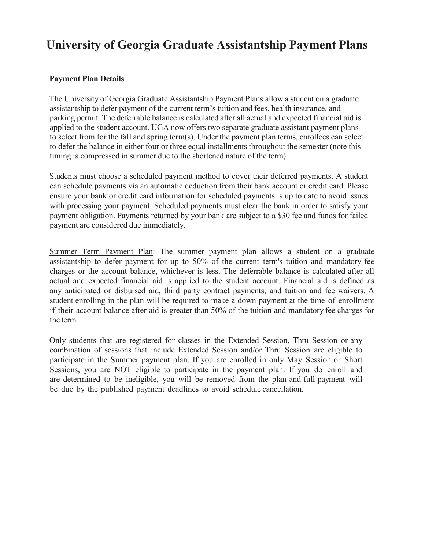# **University of Georgia Graduate Assistantship Payment Plans**

#### **Payment Plan Details**

The University of Georgia Graduate Assistantship Payment Plans allow a student on a graduate assistantship to defer payment of the current term's tuition and fees, health insurance, and parking permit. The deferrable balance is calculated after all actual and expected financial aid is applied to the student account. UGA now offers two separate graduate assistant payment plans to select from for the fall and spring term(s). Under the payment plan terms, enrollees can select to defer the balance in either four or three equal installments throughout the semester (note this timing is compressed in summer due to the shortened nature of the term).

Students must choose a scheduled payment method to cover their deferred payments. A student can schedule payments via an automatic deduction from their bank account or credit card. Please ensure your bank or credit card information for scheduled payments is up to date to avoid issues with processing your payment. Scheduled payments must clear the bank in order to satisfy your payment obligation. Payments returned by your bank are subject to a \$30 fee and funds for failed payment are considered due immediately.

Summer Term Payment Plan: The summer payment plan allows a student on a graduate assistantship to defer payment for up to 50% of the current term's tuition and mandatory fee charges or the account balance, whichever is less. The deferrable balance is calculated after all actual and expected financial aid is applied to the student account. Financial aid is defined as any anticipated or disbursed aid, third party contract payments, and tuition and fee waivers. A student enrolling in the plan will be required to make a down payment at the time of enrollment if their account balance after aid is greater than 50% of the tuition and mandatory fee charges for the term.

Only students that are registered for classes in the Extended Session, Thru Session or any combination of sessions that include Extended Session and/or Thru Session are eligible to participate in the Summer payment plan. If you are enrolled in only May Session or Short Sessions, you are NOT eligible to participate in the payment plan. If you do enroll and are determined to be ineligible, you will be removed from the plan and full payment will be due by the published payment deadlines to avoid schedule cancellation.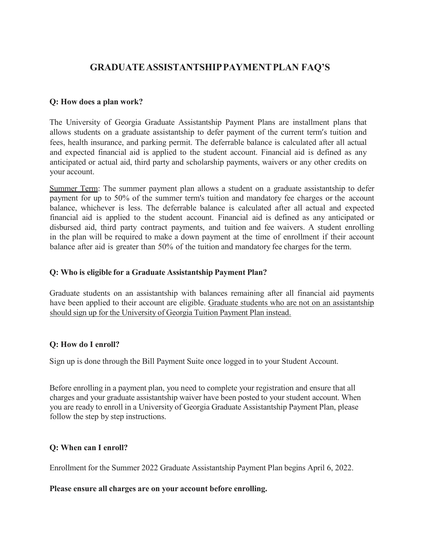# **GRADUATEASSISTANTSHIPPAYMENTPLAN FAQ'S**

#### **Q: How does a plan work?**

The University of Georgia Graduate Assistantship Payment Plans are installment plans that allows students on a graduate assistantship to defer payment of the current term's tuition and fees, health insurance, and parking permit. The deferrable balance is calculated after all actual and expected financial aid is applied to the student account. Financial aid is defined as any anticipated or actual aid, third party and scholarship payments, waivers or any other credits on your account.

Summer Term: The summer payment plan allows a student on a graduate assistantship to defer payment for up to 50% of the summer term's tuition and mandatory fee charges or the account balance, whichever is less. The deferrable balance is calculated after all actual and expected financial aid is applied to the student account. Financial aid is defined as any anticipated or disbursed aid, third party contract payments, and tuition and fee waivers. A student enrolling in the plan will be required to make a down payment at the time of enrollment if their account balance after aid is greater than 50% of the tuition and mandatory fee charges for the term.

#### **Q: Who is eligible for a Graduate Assistantship Payment Plan?**

Graduate students on an assistantship with balances remaining after all financial aid payments have been applied to their account are eligible. Graduate students who are not on an assistantship should sign up for the University of Georgia Tuition Payment Plan instead.

#### **Q: How do I enroll?**

Sign up is done through the Bill Payment Suite once logged in to your Student Account.

Before enrolling in a payment plan, you need to complete your registration and ensure that all charges and your graduate assistantship waiver have been posted to your student account. When you are ready to enroll in a University of Georgia Graduate Assistantship Payment Plan, please follow the step by step instructions.

#### **Q: When can I enroll?**

Enrollment for the Summer 2022 Graduate Assistantship Payment Plan begins April 6, 2022.

#### **Please ensure all charges are on your account before enrolling.**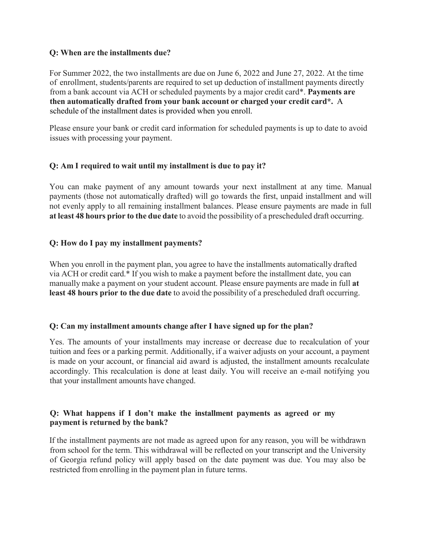#### **Q: When are the installments due?**

For Summer 2022, the two installments are due on June 6, 2022 and June 27, 2022. At the time of enrollment, students/parents are required to set up deduction of installment payments directly from a bank account via ACH or scheduled payments by a major credit card\*. **Payments are then automatically drafted from your bank account or charged your credit card\*.** A schedule of the installment dates is provided when you enroll.

Please ensure your bank or credit card information for scheduled payments is up to date to avoid issues with processing your payment.

# **Q: Am I required to wait until my installment is due to pay it?**

You can make payment of any amount towards your next installment at any time. Manual payments (those not automatically drafted) will go towards the first, unpaid installment and will not evenly apply to all remaining installment balances. Please ensure payments are made in full **at least 48 hours prior to the due date** to avoid the possibility of a prescheduled draft occurring.

# **Q: How do I pay my installment payments?**

When you enroll in the payment plan, you agree to have the installments automatically drafted via ACH or credit card.\* If you wish to make a payment before the installment date, you can manually make a payment on your student account. Please ensure payments are made in full **at least 48 hours prior to the due date** to avoid the possibility of a prescheduled draft occurring.

# **Q: Can my installment amounts change after I have signed up for the plan?**

Yes. The amounts of your installments may increase or decrease due to recalculation of your tuition and fees or a parking permit. Additionally, if a waiver adjusts on your account, a payment is made on your account, or financial aid award is adjusted, the installment amounts recalculate accordingly. This recalculation is done at least daily. You will receive an e-mail notifying you that your installment amounts have changed.

# **Q: What happens if I don't make the installment payments as agreed or my payment is returned by the bank?**

If the installment payments are not made as agreed upon for any reason, you will be withdrawn from school for the term. This withdrawal will be reflected on your transcript and the University of Georgia refund policy will apply based on the date payment was due. You may also be restricted from enrolling in the payment plan in future terms.